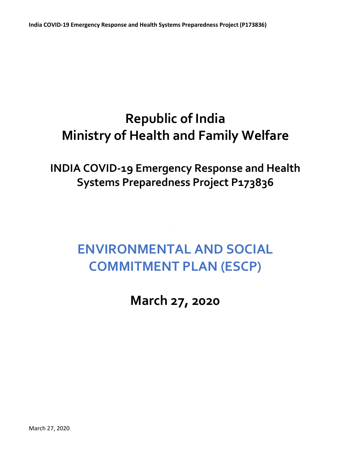## **Republic of India Ministry of Health and Family Welfare**

**INDIA COVID-19 Emergency Response and Health Systems Preparedness Project P173836**

## **ENVIRONMENTAL AND SOCIAL COMMITMENT PLAN (ESCP)**

**March 27, 2020**

March 27, 2020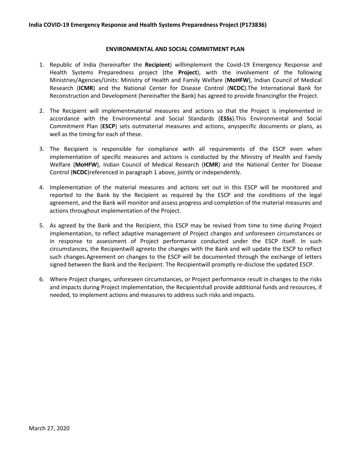## **ENVIRONMENTAL AND SOCIAL COMMITMENT PLAN**

- 1. Republic of India (hereinafter the **Recipient**) willimplement the Covid-19 Emergency Response and Health Systems Preparedness project (the **Project**), with the involvement of the following Ministries/Agencies/Units: Ministry of Health and Family Welfare (**MoHFW**), Indian Council of Medical Research (**ICMR**) and the National Center for Disease Control (**NCDC**).The International Bank for Reconstruction and Development (hereinafter the Bank) has agreed to provide financingfor the Project.
- 2. The Recipient will implementmaterial measures and actions so that the Project is implemented in accordance with the Environmental and Social Standards (**ESSs**).This Environmental and Social Commitment Plan (**ESCP**) sets outmaterial measures and actions, anyspecific documents or plans, as well as the timing for each of these.
- 3. The Recipient is responsible for compliance with all requirements of the ESCP even when implementation of specific measures and actions is conducted by the Ministry of Health and Family Welfare (**MoHFW**), Indian Council of Medical Research (**ICMR**) and the National Center for Disease Control (**NCDC**)referenced in paragraph 1 above, jointly or independently.
- 4. Implementation of the material measures and actions set out in this ESCP will be monitored and reported to the Bank by the Recipient as required by the ESCP and the conditions of the legal agreement, and the Bank will monitor and assess progress and completion of the material measures and actions throughout implementation of the Project.
- implementation, to reflect adaptive management of Project changes and unforeseen circumstances or 5. As agreed by the Bank and the Recipient, this ESCP may be revised from time to time during Project in response to assessment of Project performance conducted under the ESCP itself. In such circumstances, the Recipientwill agreeto the changes with the Bank and will update the ESCP to reflect such changes.Agreement on changes to the ESCP will be documented through the exchange of letters signed between the Bank and the Recipient. The Recipientwill promptly re-disclose the updated ESCP.
- 6. Where Project changes, unforeseen circumstances, or Project performance result in changes to the risks and impacts during Project implementation, the Recipientshall provide additional funds and resources, if needed, to implement actions and measures to address such risks and impacts.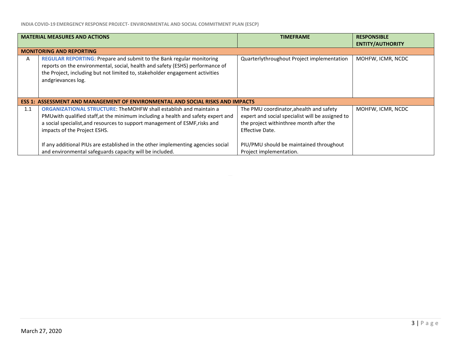**INDIA COVID-19 EMERGENCY RESPONSE PROJECT- ENVIRONMENTAL AND SOCIAL COMMITMENT PLAN (ESCP)**

| <b>MATERIAL MEASURES AND ACTIONS</b>                                                  |                                                                                                                                                                                                                                                                              | <b>TIMEFRAME</b>                                                                                                                                          | <b>RESPONSIBLE</b>      |
|---------------------------------------------------------------------------------------|------------------------------------------------------------------------------------------------------------------------------------------------------------------------------------------------------------------------------------------------------------------------------|-----------------------------------------------------------------------------------------------------------------------------------------------------------|-------------------------|
|                                                                                       |                                                                                                                                                                                                                                                                              |                                                                                                                                                           | <b>ENTITY/AUTHORITY</b> |
| <b>MONITORING AND REPORTING</b>                                                       |                                                                                                                                                                                                                                                                              |                                                                                                                                                           |                         |
| A                                                                                     | REGULAR REPORTING: Prepare and submit to the Bank regular monitoring<br>reports on the environmental, social, health and safety (ESHS) performance of<br>the Project, including but not limited to, stakeholder engagement activities<br>andgrievances log.                  | Quarterlythroughout Project implementation                                                                                                                | MOHFW, ICMR, NCDC       |
| <b>ESS 1: ASSESSMENT AND MANAGEMENT OF ENVIRONMENTAL AND SOCIAL RISKS AND IMPACTS</b> |                                                                                                                                                                                                                                                                              |                                                                                                                                                           |                         |
| 1.1                                                                                   | <b>ORGANIZATIONAL STRUCTURE: TheMOHFW shall establish and maintain a</b><br>PMU with qualified staff, at the minimum including a health and safety expert and<br>a social specialist, and resources to support management of ESMF, risks and<br>impacts of the Project ESHS. | The PMU coordinator, ahealth and safety<br>expert and social specialist will be assigned to<br>the project withinthree month after the<br>Effective Date. | MOHFW, ICMR, NCDC       |
|                                                                                       | If any additional PIUs are established in the other implementing agencies social<br>and environmental safeguards capacity will be included.                                                                                                                                  | PIU/PMU should be maintained throughout<br>Project implementation.                                                                                        |                         |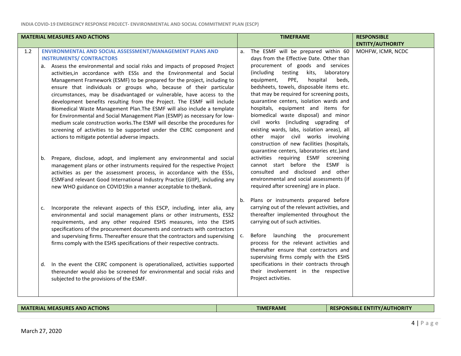| <b>MATERIAL MEASURES AND ACTIONS</b> |                                                                                                                                                                                                                                                                                                                                                                                                                                                                                                                                                                                                                                                                                                                                                                                                                           |          | <b>TIMEFRAME</b>                                                                                                                                                                                                                                                                                                                                                                                                                                                                                                                                               | <b>RESPONSIBLE</b>      |
|--------------------------------------|---------------------------------------------------------------------------------------------------------------------------------------------------------------------------------------------------------------------------------------------------------------------------------------------------------------------------------------------------------------------------------------------------------------------------------------------------------------------------------------------------------------------------------------------------------------------------------------------------------------------------------------------------------------------------------------------------------------------------------------------------------------------------------------------------------------------------|----------|----------------------------------------------------------------------------------------------------------------------------------------------------------------------------------------------------------------------------------------------------------------------------------------------------------------------------------------------------------------------------------------------------------------------------------------------------------------------------------------------------------------------------------------------------------------|-------------------------|
|                                      |                                                                                                                                                                                                                                                                                                                                                                                                                                                                                                                                                                                                                                                                                                                                                                                                                           |          |                                                                                                                                                                                                                                                                                                                                                                                                                                                                                                                                                                | <b>ENTITY/AUTHORITY</b> |
| 1.2                                  | ENVIRONMENTAL AND SOCIAL ASSESSMENT/MANAGEMENT PLANS AND<br><b>INSTRUMENTS/ CONTRACTORS</b>                                                                                                                                                                                                                                                                                                                                                                                                                                                                                                                                                                                                                                                                                                                               | a.       | The ESMF will be prepared within 60<br>days from the Effective Date. Other than                                                                                                                                                                                                                                                                                                                                                                                                                                                                                | MOHFW, ICMR, NCDC       |
|                                      | a. Assess the environmental and social risks and impacts of proposed Project<br>activities, in accordance with ESSs and the Environmental and Social<br>Management Framework (ESMF) to be prepared for the project, including to<br>ensure that individuals or groups who, because of their particular<br>circumstances, may be disadvantaged or vulnerable, have access to the<br>development benefits resulting from the Project. The ESMF will include<br>Biomedical Waste Management Plan. The ESMF will also include a template<br>for Environmental and Social Management Plan (ESMP) as necessary for low-<br>medium scale construction works. The ESMF will describe the procedures for<br>screening of activities to be supported under the CERC component and<br>actions to mitigate potential adverse impacts. |          | procurement of goods and services<br>(including testing<br>kits, laboratory<br>PPE,<br>equipment,<br>hospital<br>beds,<br>bedsheets, towels, disposable items etc.<br>that may be required for screening posts,<br>quarantine centers, isolation wards and<br>hospitals, equipment and items for<br>biomedical waste disposal) and minor<br>civil works (including upgrading of<br>existing wards, labs, isolation areas), all<br>other major civil works involving<br>construction of new facilities (hospitals,<br>quarantine centers, laboratories etc.)and |                         |
|                                      | Prepare, disclose, adopt, and implement any environmental and social<br>b.<br>management plans or other instruments required for the respective Project<br>activities as per the assessment process, in accordance with the ESSs,<br>ESMFand relevant Good International Industry Practice (GIIP), including any<br>new WHO guidance on COVID19in a manner acceptable to theBank.                                                                                                                                                                                                                                                                                                                                                                                                                                         |          | activities requiring ESMF screening<br>cannot start before the ESMF is<br>consulted and disclosed and other<br>environmental and social assessments (if<br>required after screening) are in place.                                                                                                                                                                                                                                                                                                                                                             |                         |
|                                      | Incorporate the relevant aspects of this ESCP, including, inter alia, any<br>c.<br>environmental and social management plans or other instruments, ESS2<br>requirements, and any other required ESHS measures, into the ESHS<br>specifications of the procurement documents and contracts with contractors<br>and supervising firms. Thereafter ensure that the contractors and supervising<br>firms comply with the ESHS specifications of their respective contracts.                                                                                                                                                                                                                                                                                                                                                   | b.<br>c. | Plans or instruments prepared before<br>carrying out of the relevant activities, and<br>thereafter implemented throughout the<br>carrying out of such activities.<br>Before launching the procurement<br>process for the relevant activities and<br>thereafter ensure that contractors and<br>supervising firms comply with the ESHS                                                                                                                                                                                                                           |                         |
|                                      | In the event the CERC component is operationalized, activities supported<br>d.<br>thereunder would also be screened for environmental and social risks and<br>subjected to the provisions of the ESMF.                                                                                                                                                                                                                                                                                                                                                                                                                                                                                                                                                                                                                    |          | specifications in their contracts through<br>their involvement in the respective<br>Project activities.                                                                                                                                                                                                                                                                                                                                                                                                                                                        |                         |

## **MATERIAL MEASURES AND ACTIONS EXECUTES AND ACTIONS EXECUTES AND ACTIONS EXECUTES RESPONSIBLE ENTITY/AUTHORITY**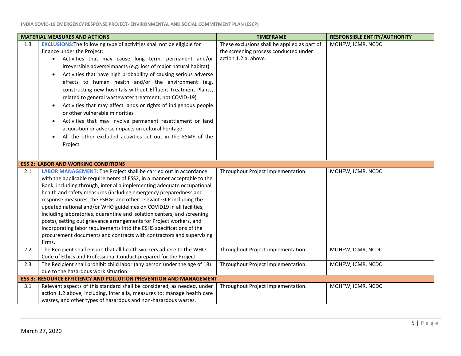| <b>MATERIAL MEASURES AND ACTIONS</b> |                                                                                                                                                                                                                                                                                                                                                                                                                                                                                                                                                                                                                                                                                                                                                                                                                                                          | <b>TIMEFRAME</b>                                                                                              | <b>RESPONSIBLE ENTITY/AUTHORITY</b> |
|--------------------------------------|----------------------------------------------------------------------------------------------------------------------------------------------------------------------------------------------------------------------------------------------------------------------------------------------------------------------------------------------------------------------------------------------------------------------------------------------------------------------------------------------------------------------------------------------------------------------------------------------------------------------------------------------------------------------------------------------------------------------------------------------------------------------------------------------------------------------------------------------------------|---------------------------------------------------------------------------------------------------------------|-------------------------------------|
| 1.3                                  | <b>EXCLUSIONS: The following type of activities shall not be eligible for</b><br>finance under the Project:<br>Activities that may cause long term, permanent and/or<br>$\bullet$<br>irreversible adverseimpacts (e.g. loss of major natural habitat)<br>Activities that have high probability of causing serious adverse<br>$\bullet$<br>effects to human health and/or the environment (e.g.<br>constructing new hospitals without Effluent Treatment Plants,<br>related to general wastewater treatment, not COVID-19)<br>Activities that may affect lands or rights of indigenous people<br>$\bullet$<br>or other vulnerable minorities<br>Activities that may involve permanent resettlement or land<br>$\bullet$<br>acquisition or adverse impacts on cultural heritage<br>All the other excluded activities set out in the ESMF of the<br>Project | These exclusions shall be applied as part of<br>the screening process conducted under<br>action 1.2.a. above. | MOHFW, ICMR, NCDC                   |
|                                      | <b>ESS 2: LABOR AND WORKING CONDITIONS</b>                                                                                                                                                                                                                                                                                                                                                                                                                                                                                                                                                                                                                                                                                                                                                                                                               |                                                                                                               |                                     |
| 2.1                                  | LABOR MANAGEMENT: The Project shall be carried out in accordance<br>with the applicable requirements of ESS2, in a manner acceptable to the<br>Bank, including through, inter alia, implementing adequate occupational<br>health and safety measures (including emergency preparedness and<br>response measures, the ESHGs and other relevant GIIP including the<br>updated national and/or WHO guidelines on COVID19 in all facilities,<br>including laboratories, quarantine and isolation centers, and screening<br>posts), setting out grievance arrangements for Project workers, and<br>incorporating labor requirements into the ESHS specifications of the<br>procurement documents and contracts with contractors and supervising<br>firms.                                                                                                     | Throughout Project implementation.                                                                            | MOHFW, ICMR, NCDC                   |
| 2.2                                  | The Recipient shall ensure that all health workers adhere to the WHO<br>Code of Ethics and Professional Conduct prepared for the Project.                                                                                                                                                                                                                                                                                                                                                                                                                                                                                                                                                                                                                                                                                                                | Throughout Project implementation.                                                                            | MOHFW, ICMR, NCDC                   |
| 2.3                                  | The Recipient shall prohibit child labor (any person under the age of 18)<br>due to the hazardous work situation.                                                                                                                                                                                                                                                                                                                                                                                                                                                                                                                                                                                                                                                                                                                                        | Throughout Project implementation.                                                                            | MOHFW, ICMR, NCDC                   |
|                                      | <b>ESS 3: RESOURCE EFFICIENCY AND POLLUTION PREVENTION AND MANAGEMENT</b>                                                                                                                                                                                                                                                                                                                                                                                                                                                                                                                                                                                                                                                                                                                                                                                |                                                                                                               |                                     |
| 3.1                                  | Relevant aspects of this standard shall be considered, as needed, under<br>action 1.2 above, including, inter alia, measures to: manage health care<br>wastes, and other types of hazardous and non-hazardous wastes.                                                                                                                                                                                                                                                                                                                                                                                                                                                                                                                                                                                                                                    | Throughout Project implementation.                                                                            | MOHFW, ICMR, NCDC                   |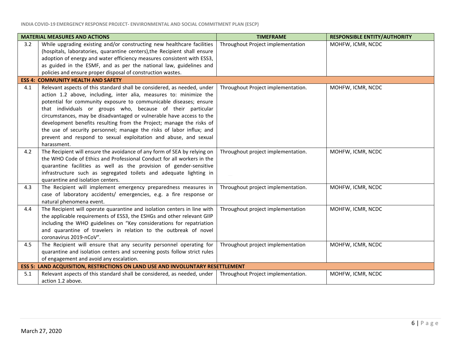| <b>MATERIAL MEASURES AND ACTIONS</b> |                                                                                                                                                                                                                                                                                                                                                                                                                                   | <b>TIMEFRAME</b>                   | <b>RESPONSIBLE ENTITY/AUTHORITY</b> |
|--------------------------------------|-----------------------------------------------------------------------------------------------------------------------------------------------------------------------------------------------------------------------------------------------------------------------------------------------------------------------------------------------------------------------------------------------------------------------------------|------------------------------------|-------------------------------------|
| 3.2                                  | While upgrading existing and/or constructing new healthcare facilities<br>(hospitals, laboratories, quarantine centers), the Recipient shall ensure                                                                                                                                                                                                                                                                               | Throughout Project implementation  | MOHFW, ICMR, NCDC                   |
|                                      | adoption of energy and water efficiency measures consistent with ESS3,                                                                                                                                                                                                                                                                                                                                                            |                                    |                                     |
|                                      | as guided in the ESMF, and as per the national law, guidelines and                                                                                                                                                                                                                                                                                                                                                                |                                    |                                     |
|                                      | policies and ensure proper disposal of construction wastes.                                                                                                                                                                                                                                                                                                                                                                       |                                    |                                     |
|                                      | <b>ESS 4: COMMUNITY HEALTH AND SAFETY</b>                                                                                                                                                                                                                                                                                                                                                                                         |                                    |                                     |
| 4.1                                  | Relevant aspects of this standard shall be considered, as needed, under<br>action 1.2 above, including, inter alia, measures to: minimize the<br>potential for community exposure to communicable diseases; ensure<br>that individuals or groups who, because of their particular<br>circumstances, may be disadvantaged or vulnerable have access to the<br>development benefits resulting from the Project; manage the risks of | Throughout Project implementation. | MOHFW, ICMR, NCDC                   |
|                                      | the use of security personnel; manage the risks of labor influx; and<br>prevent and respond to sexual exploitation and abuse, and sexual<br>harassment.                                                                                                                                                                                                                                                                           |                                    |                                     |
| 4.2                                  | The Recipient will ensure the avoidance of any form of SEA by relying on<br>the WHO Code of Ethics and Professional Conduct for all workers in the<br>quarantine facilities as well as the provision of gender-sensitive<br>infrastructure such as segregated toilets and adequate lighting in<br>quarantine and isolation centers.                                                                                               | Throughout project implementation. | MOHFW, ICMR, NCDC                   |
| 4.3                                  | The Recipient will implement emergency preparedness measures in<br>case of laboratory accidents/ emergencies, e.g. a fire response or<br>natural phenomena event.                                                                                                                                                                                                                                                                 | Throughout project implementation. | MOHFW, ICMR, NCDC                   |
| 4.4                                  | The Recipient will operate quarantine and isolation centers in line with<br>the applicable requirements of ESS3, the ESHGs and other relevant GIIP<br>including the WHO guidelines on "Key considerations for repatriation<br>and quarantine of travelers in relation to the outbreak of novel<br>coronavirus 2019-nCoV".                                                                                                         | Throughout project implementation  | MOHFW, ICMR, NCDC                   |
| 4.5                                  | The Recipient will ensure that any security personnel operating for<br>quarantine and isolation centers and screening posts follow strict rules<br>of engagement and avoid any escalation.                                                                                                                                                                                                                                        | Throughout project implementation  | MOHFW, ICMR, NCDC                   |
|                                      | <b>ESS 5: LAND ACQUISITION, RESTRICTIONS ON LAND USE AND INVOLUNTARY RESETTLEMENT</b>                                                                                                                                                                                                                                                                                                                                             |                                    |                                     |
| 5.1                                  | Relevant aspects of this standard shall be considered, as needed, under<br>action 1.2 above.                                                                                                                                                                                                                                                                                                                                      | Throughout Project implementation. | MOHFW, ICMR, NCDC                   |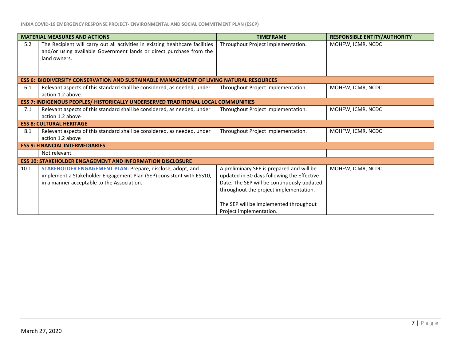| <b>MATERIAL MEASURES AND ACTIONS</b>                                              |                                                                                                                                                                                  | <b>TIMEFRAME</b>                                                                                                                                                                                                                                     | <b>RESPONSIBLE ENTITY/AUTHORITY</b> |  |
|-----------------------------------------------------------------------------------|----------------------------------------------------------------------------------------------------------------------------------------------------------------------------------|------------------------------------------------------------------------------------------------------------------------------------------------------------------------------------------------------------------------------------------------------|-------------------------------------|--|
| 5.2                                                                               | The Recipient will carry out all activities in existing healthcare facilities<br>and/or using available Government lands or direct purchase from the<br>land owners.             | Throughout Project implementation.                                                                                                                                                                                                                   | MOHFW, ICMR, NCDC                   |  |
|                                                                                   | ESS 6: BIODIVERSITY CONSERVATION AND SUSTAINABLE MANAGEMENT OF LIVING NATURAL RESOURCES                                                                                          |                                                                                                                                                                                                                                                      |                                     |  |
| 6.1                                                                               | Relevant aspects of this standard shall be considered, as needed, under<br>action 1.2 above.                                                                                     | Throughout Project implementation.                                                                                                                                                                                                                   | MOHFW, ICMR, NCDC                   |  |
| ESS 7: INDIGENOUS PEOPLES/ HISTORICALLY UNDERSERVED TRADITIONAL LOCAL COMMUNITIES |                                                                                                                                                                                  |                                                                                                                                                                                                                                                      |                                     |  |
| 7.1                                                                               | Relevant aspects of this standard shall be considered, as needed, under<br>action 1.2 above                                                                                      | Throughout Project implementation.                                                                                                                                                                                                                   | MOHFW, ICMR, NCDC                   |  |
| <b>ESS 8: CULTURAL HERITAGE</b>                                                   |                                                                                                                                                                                  |                                                                                                                                                                                                                                                      |                                     |  |
| 8.1                                                                               | Relevant aspects of this standard shall be considered, as needed, under<br>action 1.2 above                                                                                      | Throughout Project implementation.                                                                                                                                                                                                                   | MOHFW, ICMR, NCDC                   |  |
|                                                                                   | <b>ESS 9: FINANCIAL INTERMEDIARIES</b>                                                                                                                                           |                                                                                                                                                                                                                                                      |                                     |  |
|                                                                                   | Not relevant.                                                                                                                                                                    |                                                                                                                                                                                                                                                      |                                     |  |
|                                                                                   | <b>ESS 10: STAKEHOLDER ENGAGEMENT AND INFORMATION DISCLOSURE</b>                                                                                                                 |                                                                                                                                                                                                                                                      |                                     |  |
| 10.1                                                                              | STAKEHOLDER ENGAGEMENT PLAN: Prepare, disclose, adopt, and<br>implement a Stakeholder Engagement Plan (SEP) consistent with ESS10,<br>in a manner acceptable to the Association. | A preliminary SEP is prepared and will be<br>updated in 30 days following the Effective<br>Date. The SEP will be continuously updated<br>throughout the project implementation.<br>The SEP will be implemented throughout<br>Project implementation. | MOHFW, ICMR, NCDC                   |  |